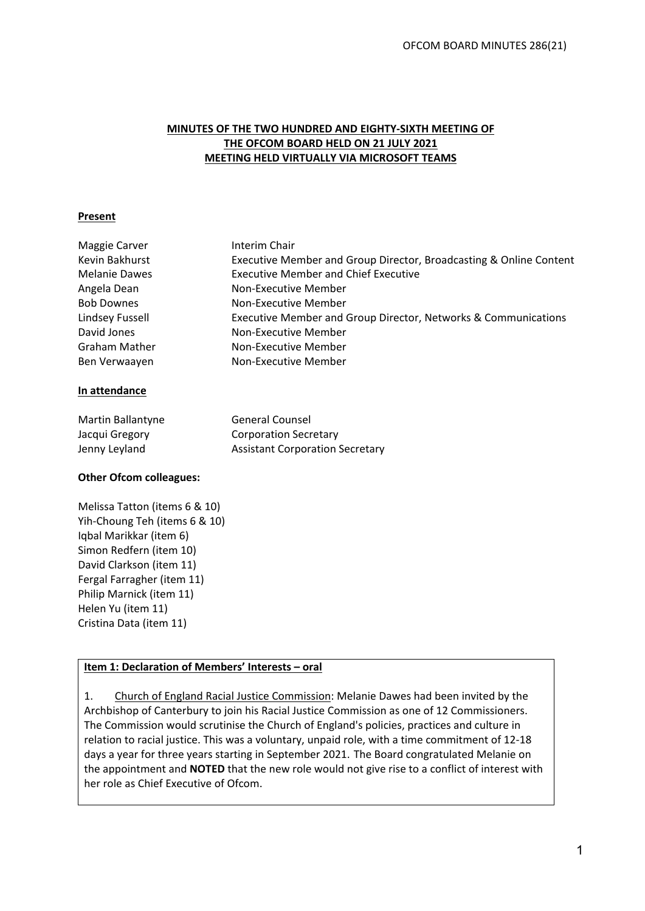## **MINUTES OF THE TWO HUNDRED AND EIGHTY-SIXTH MEETING OF THE OFCOM BOARD HELD ON 21 JULY 2021 MEETING HELD VIRTUALLY VIA MICROSOFT TEAMS**

#### **Present**

| Maggie Carver        | Interim Chair                                                      |
|----------------------|--------------------------------------------------------------------|
| Kevin Bakhurst       | Executive Member and Group Director, Broadcasting & Online Content |
| <b>Melanie Dawes</b> | <b>Executive Member and Chief Executive</b>                        |
| Angela Dean          | Non-Executive Member                                               |
| <b>Bob Downes</b>    | Non-Executive Member                                               |
| Lindsey Fussell      | Executive Member and Group Director, Networks & Communications     |
| David Jones          | Non-Executive Member                                               |
| <b>Graham Mather</b> | Non-Executive Member                                               |
| Ben Verwaayen        | Non-Executive Member                                               |
| In attendance        |                                                                    |
| Martin Ballantyne    | <b>General Counsel</b>                                             |
| Jacqui Gregory       | <b>Corporation Secretary</b>                                       |
| Jenny Leyland        | <b>Assistant Corporation Secretary</b>                             |

## **Other Ofcom colleagues:**

Melissa Tatton (items 6 & 10) Yih-Choung Teh (items 6 & 10) Iqbal Marikkar (item 6) Simon Redfern (item 10) David Clarkson (item 11) Fergal Farragher (item 11) Philip Marnick (item 11) Helen Yu (item 11) Cristina Data (item 11)

## **Item 1: Declaration of Members' Interests – oral**

1. Church of England Racial Justice Commission: Melanie Dawes had been invited by the Archbishop of Canterbury to join his Racial Justice Commission as one of 12 Commissioners. The Commission would scrutinise the Church of England's policies, practices and culture in relation to racial justice. This was a voluntary, unpaid role, with a time commitment of 12-18 days a year for three years starting in September 2021. The Board congratulated Melanie on the appointment and **NOTED** that the new role would not give rise to a conflict of interest with her role as Chief Executive of Ofcom.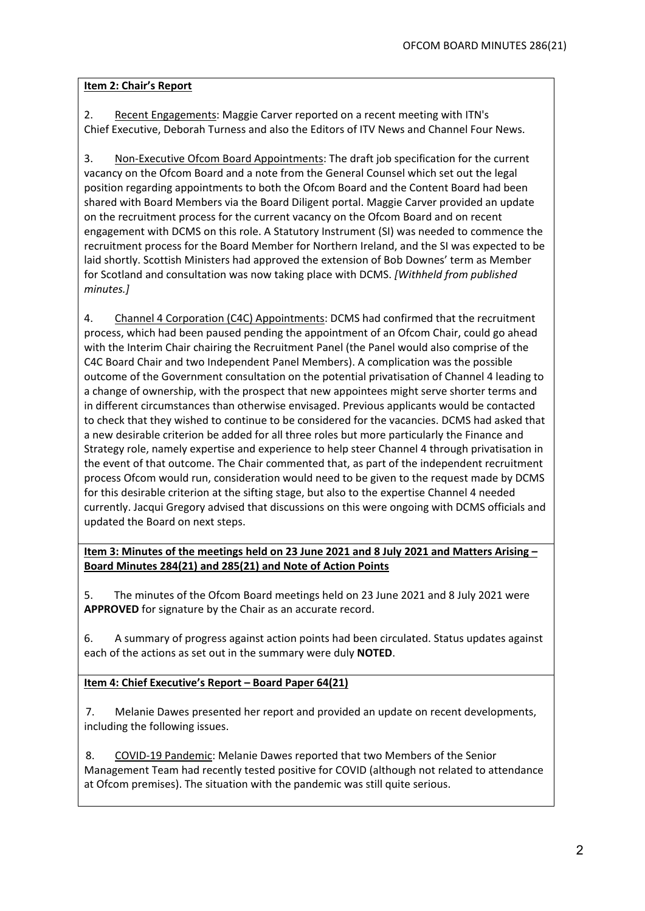## **Item 2: Chair's Report**

2. Recent Engagements: Maggie Carver reported on a recent meeting with ITN's Chief Executive, Deborah Turness and also the Editors of ITV News and Channel Four News.

3. Non-Executive Ofcom Board Appointments: The draft job specification for the current vacancy on the Ofcom Board and a note from the General Counsel which set out the legal position regarding appointments to both the Ofcom Board and the Content Board had been shared with Board Members via the Board Diligent portal. Maggie Carver provided an update on the recruitment process for the current vacancy on the Ofcom Board and on recent engagement with DCMS on this role. A Statutory Instrument (SI) was needed to commence the recruitment process for the Board Member for Northern Ireland, and the SI was expected to be laid shortly. Scottish Ministers had approved the extension of Bob Downes' term as Member for Scotland and consultation was now taking place with DCMS. *[Withheld from published minutes.]*

4. Channel 4 Corporation (C4C) Appointments: DCMS had confirmed that the recruitment process, which had been paused pending the appointment of an Ofcom Chair, could go ahead with the Interim Chair chairing the Recruitment Panel (the Panel would also comprise of the C4C Board Chair and two Independent Panel Members). A complication was the possible outcome of the Government consultation on the potential privatisation of Channel 4 leading to a change of ownership, with the prospect that new appointees might serve shorter terms and in different circumstances than otherwise envisaged. Previous applicants would be contacted to check that they wished to continue to be considered for the vacancies. DCMS had asked that a new desirable criterion be added for all three roles but more particularly the Finance and Strategy role, namely expertise and experience to help steer Channel 4 through privatisation in the event of that outcome. The Chair commented that, as part of the independent recruitment process Ofcom would run, consideration would need to be given to the request made by DCMS for this desirable criterion at the sifting stage, but also to the expertise Channel 4 needed currently. Jacqui Gregory advised that discussions on this were ongoing with DCMS officials and updated the Board on next steps.

**Item 3: Minutes of the meetings held on 23 June 2021 and 8 July 2021 and Matters Arising – Board Minutes 284(21) and 285(21) and Note of Action Points**

5. The minutes of the Ofcom Board meetings held on 23 June 2021 and 8 July 2021 were **APPROVED** for signature by the Chair as an accurate record.

6. A summary of progress against action points had been circulated. Status updates against each of the actions as set out in the summary were duly **NOTED**.

**Item 4: Chief Executive's Report – Board Paper 64(21)**

7. Melanie Dawes presented her report and provided an update on recent developments, including the following issues.

8. COVID-19 Pandemic: Melanie Dawes reported that two Members of the Senior Management Team had recently tested positive for COVID (although not related to attendance at Ofcom premises). The situation with the pandemic was still quite serious.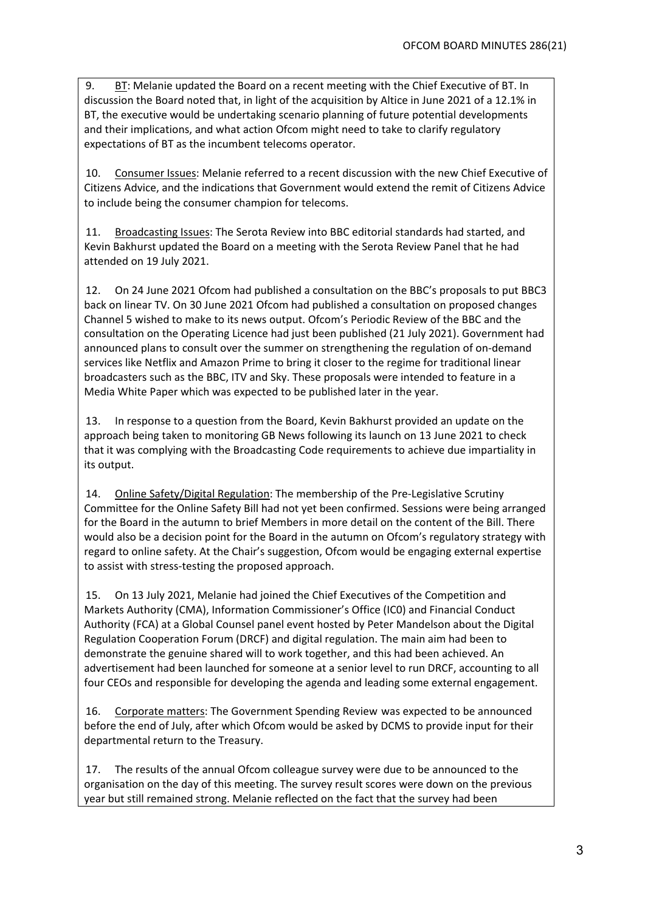9. BT: Melanie updated the Board on a recent meeting with the Chief Executive of BT. In discussion the Board noted that, in light of the acquisition by Altice in June 2021 of a 12.1% in BT, the executive would be undertaking scenario planning of future potential developments and their implications, and what action Ofcom might need to take to clarify regulatory expectations of BT as the incumbent telecoms operator.

10. Consumer Issues: Melanie referred to a recent discussion with the new Chief Executive of Citizens Advice, and the indications that Government would extend the remit of Citizens Advice to include being the consumer champion for telecoms.

11. Broadcasting Issues: The Serota Review into BBC editorial standards had started, and Kevin Bakhurst updated the Board on a meeting with the Serota Review Panel that he had attended on 19 July 2021.

12. On 24 June 2021 Ofcom had published a consultation on the BBC's proposals to put BBC3 back on linear TV. On 30 June 2021 Ofcom had published a consultation on proposed changes Channel 5 wished to make to its news output. Ofcom's Periodic Review of the BBC and the consultation on the Operating Licence had just been published (21 July 2021). Government had announced plans to consult over the summer on strengthening the regulation of on-demand services like Netflix and Amazon Prime to bring it closer to the regime for traditional linear broadcasters such as the BBC, ITV and Sky. These proposals were intended to feature in a Media White Paper which was expected to be published later in the year.

13. In response to a question from the Board, Kevin Bakhurst provided an update on the approach being taken to monitoring GB News following its launch on 13 June 2021 to check that it was complying with the Broadcasting Code requirements to achieve due impartiality in its output.

14. Online Safety/Digital Regulation: The membership of the Pre-Legislative Scrutiny Committee for the Online Safety Bill had not yet been confirmed. Sessions were being arranged for the Board in the autumn to brief Members in more detail on the content of the Bill. There would also be a decision point for the Board in the autumn on Ofcom's regulatory strategy with regard to online safety. At the Chair's suggestion, Ofcom would be engaging external expertise to assist with stress-testing the proposed approach.

15. On 13 July 2021, Melanie had joined the Chief Executives of the Competition and Markets Authority (CMA), Information Commissioner's Office (IC0) and Financial Conduct Authority (FCA) at a Global Counsel panel event hosted by Peter Mandelson about the Digital Regulation Cooperation Forum (DRCF) and digital regulation. The main aim had been to demonstrate the genuine shared will to work together, and this had been achieved. An advertisement had been launched for someone at a senior level to run DRCF, accounting to all four CEOs and responsible for developing the agenda and leading some external engagement.

16. Corporate matters: The Government Spending Review was expected to be announced before the end of July, after which Ofcom would be asked by DCMS to provide input for their departmental return to the Treasury.

17. The results of the annual Ofcom colleague survey were due to be announced to the organisation on the day of this meeting. The survey result scores were down on the previous year but still remained strong. Melanie reflected on the fact that the survey had been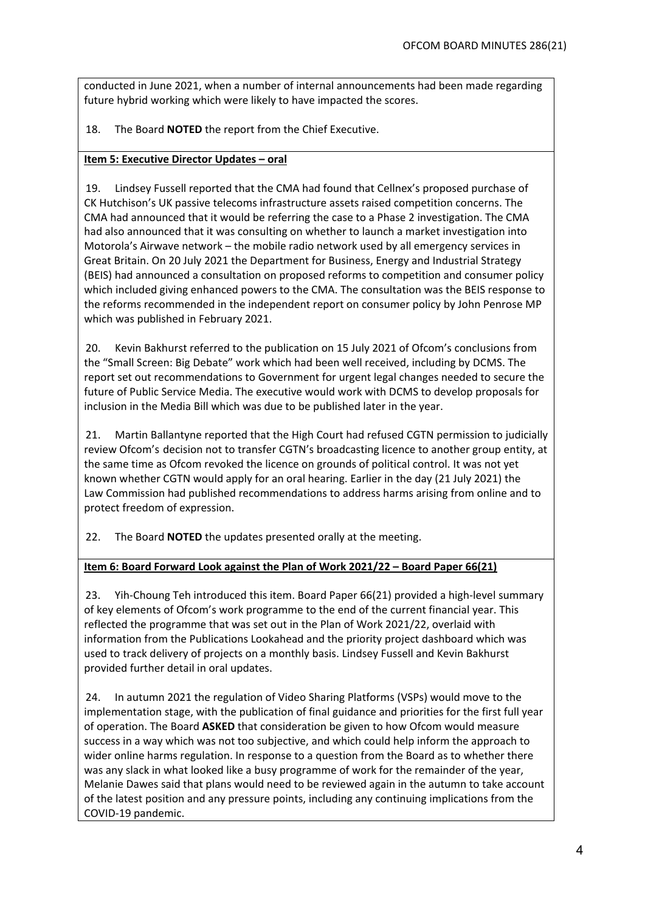conducted in June 2021, when a number of internal announcements had been made regarding future hybrid working which were likely to have impacted the scores.

## 18. The Board **NOTED** the report from the Chief Executive.

#### **Item 5: Executive Director Updates – oral**

19. Lindsey Fussell reported that the CMA had found that Cellnex's proposed purchase of CK Hutchison's UK passive telecoms infrastructure assets raised competition concerns. The CMA had announced that it would be referring the case to a Phase 2 investigation. The CMA had also announced that it was consulting on whether to launch a market investigation into Motorola's Airwave network – the mobile radio network used by all emergency services in Great Britain. On 20 July 2021 the Department for Business, Energy and Industrial Strategy (BEIS) had announced a consultation on proposed reforms to competition and consumer policy which included giving enhanced powers to the CMA. The consultation was the BEIS response to the reforms recommended in the independent report on consumer policy by John Penrose MP which was published in February 2021.

20. Kevin Bakhurst referred to the publication on 15 July 2021 of Ofcom's conclusions from the "Small Screen: Big Debate" work which had been well received, including by DCMS. The report set out recommendations to Government for urgent legal changes needed to secure the future of Public Service Media. The executive would work with DCMS to develop proposals for inclusion in the Media Bill which was due to be published later in the year.

21. Martin Ballantyne reported that the High Court had refused CGTN permission to judicially review Ofcom's decision not to transfer CGTN's broadcasting licence to another group entity, at the same time as Ofcom revoked the licence on grounds of political control. It was not yet known whether CGTN would apply for an oral hearing. Earlier in the day (21 July 2021) the Law Commission had published recommendations to address harms arising from online and to protect freedom of expression.

22. The Board **NOTED** the updates presented orally at the meeting.

#### **Item 6: Board Forward Look against the Plan of Work 2021/22 – Board Paper 66(21)**

23. Yih-Choung Teh introduced this item. Board Paper 66(21) provided a high-level summary of key elements of Ofcom's work programme to the end of the current financial year. This reflected the programme that was set out in the Plan of Work 2021/22, overlaid with information from the Publications Lookahead and the priority project dashboard which was used to track delivery of projects on a monthly basis. Lindsey Fussell and Kevin Bakhurst provided further detail in oral updates.

24. In autumn 2021 the regulation of Video Sharing Platforms (VSPs) would move to the implementation stage, with the publication of final guidance and priorities for the first full year of operation. The Board **ASKED** that consideration be given to how Ofcom would measure success in a way which was not too subjective, and which could help inform the approach to wider online harms regulation. In response to a question from the Board as to whether there was any slack in what looked like a busy programme of work for the remainder of the year, Melanie Dawes said that plans would need to be reviewed again in the autumn to take account of the latest position and any pressure points, including any continuing implications from the COVID-19 pandemic.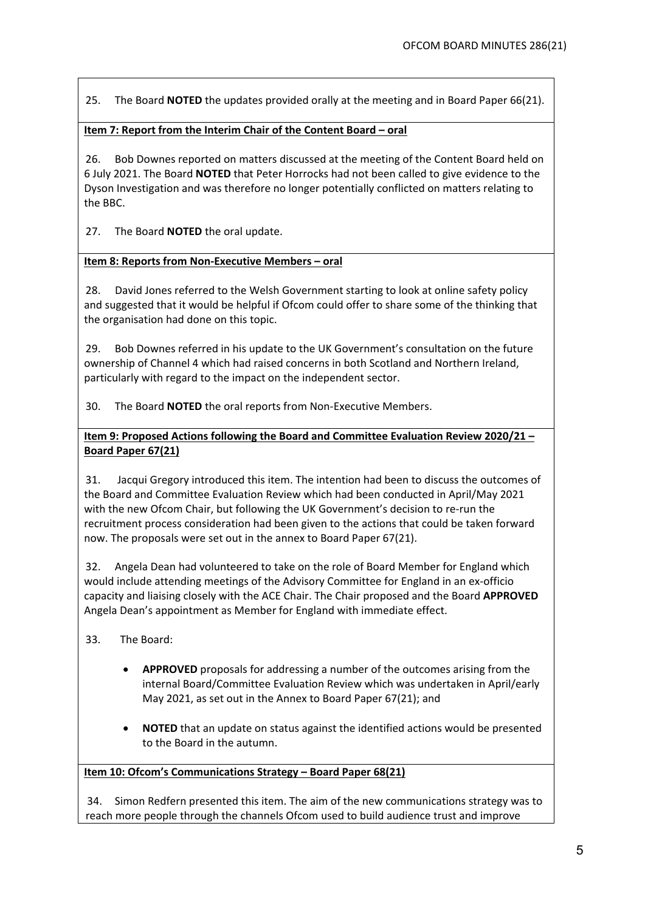25. The Board **NOTED** the updates provided orally at the meeting and in Board Paper 66(21).

# **Item 7: Report from the Interim Chair of the Content Board – oral**

26. Bob Downes reported on matters discussed at the meeting of the Content Board held on 6 July 2021. The Board **NOTED** that Peter Horrocks had not been called to give evidence to the Dyson Investigation and was therefore no longer potentially conflicted on matters relating to the BBC.

27. The Board **NOTED** the oral update.

## **Item 8: Reports from Non-Executive Members – oral**

28. David Jones referred to the Welsh Government starting to look at online safety policy and suggested that it would be helpful if Ofcom could offer to share some of the thinking that the organisation had done on this topic.

29. Bob Downes referred in his update to the UK Government's consultation on the future ownership of Channel 4 which had raised concerns in both Scotland and Northern Ireland, particularly with regard to the impact on the independent sector.

30. The Board **NOTED** the oral reports from Non-Executive Members.

**Item 9: Proposed Actions following the Board and Committee Evaluation Review 2020/21 – Board Paper 67(21)**

31. Jacqui Gregory introduced this item. The intention had been to discuss the outcomes of the Board and Committee Evaluation Review which had been conducted in April/May 2021 with the new Ofcom Chair, but following the UK Government's decision to re-run the recruitment process consideration had been given to the actions that could be taken forward now. The proposals were set out in the annex to Board Paper 67(21).

32. Angela Dean had volunteered to take on the role of Board Member for England which would include attending meetings of the Advisory Committee for England in an ex-officio capacity and liaising closely with the ACE Chair. The Chair proposed and the Board **APPROVED** Angela Dean's appointment as Member for England with immediate effect.

- 33. The Board:
	- **APPROVED** proposals for addressing a number of the outcomes arising from the internal Board/Committee Evaluation Review which was undertaken in April/early May 2021, as set out in the Annex to Board Paper 67(21); and
	- **NOTED** that an update on status against the identified actions would be presented to the Board in the autumn.

## **Item 10: Ofcom's Communications Strategy – Board Paper 68(21)**

34. Simon Redfern presented this item. The aim of the new communications strategy was to reach more people through the channels Ofcom used to build audience trust and improve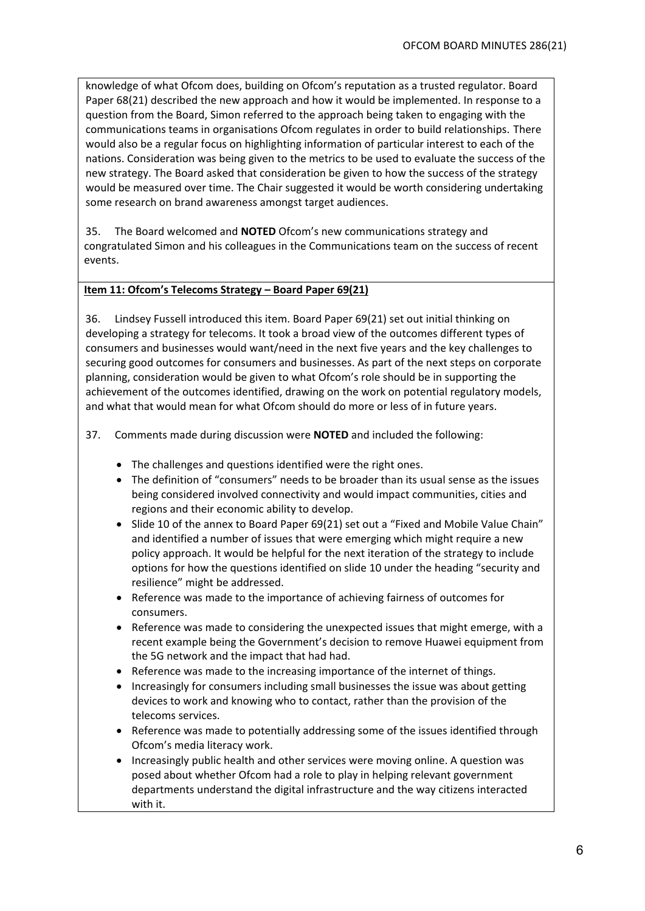knowledge of what Ofcom does, building on Ofcom's reputation as a trusted regulator. Board Paper 68(21) described the new approach and how it would be implemented. In response to a question from the Board, Simon referred to the approach being taken to engaging with the communications teams in organisations Ofcom regulates in order to build relationships. There would also be a regular focus on highlighting information of particular interest to each of the nations. Consideration was being given to the metrics to be used to evaluate the success of the new strategy. The Board asked that consideration be given to how the success of the strategy would be measured over time. The Chair suggested it would be worth considering undertaking some research on brand awareness amongst target audiences.

35. The Board welcomed and **NOTED** Ofcom's new communications strategy and congratulated Simon and his colleagues in the Communications team on the success of recent events.

#### **Item 11: Ofcom's Telecoms Strategy – Board Paper 69(21)**

36. Lindsey Fussell introduced this item. Board Paper 69(21) set out initial thinking on developing a strategy for telecoms. It took a broad view of the outcomes different types of consumers and businesses would want/need in the next five years and the key challenges to securing good outcomes for consumers and businesses. As part of the next steps on corporate planning, consideration would be given to what Ofcom's role should be in supporting the achievement of the outcomes identified, drawing on the work on potential regulatory models, and what that would mean for what Ofcom should do more or less of in future years.

37. Comments made during discussion were **NOTED** and included the following:

- The challenges and questions identified were the right ones.
- The definition of "consumers" needs to be broader than its usual sense as the issues being considered involved connectivity and would impact communities, cities and regions and their economic ability to develop.
- Slide 10 of the annex to Board Paper 69(21) set out a "Fixed and Mobile Value Chain" and identified a number of issues that were emerging which might require a new policy approach. It would be helpful for the next iteration of the strategy to include options for how the questions identified on slide 10 under the heading "security and resilience" might be addressed.
- Reference was made to the importance of achieving fairness of outcomes for consumers.
- Reference was made to considering the unexpected issues that might emerge, with a recent example being the Government's decision to remove Huawei equipment from the 5G network and the impact that had had.
- Reference was made to the increasing importance of the internet of things.
- Increasingly for consumers including small businesses the issue was about getting devices to work and knowing who to contact, rather than the provision of the telecoms services.
- Reference was made to potentially addressing some of the issues identified through Ofcom's media literacy work.
- Increasingly public health and other services were moving online. A question was posed about whether Ofcom had a role to play in helping relevant government departments understand the digital infrastructure and the way citizens interacted with it.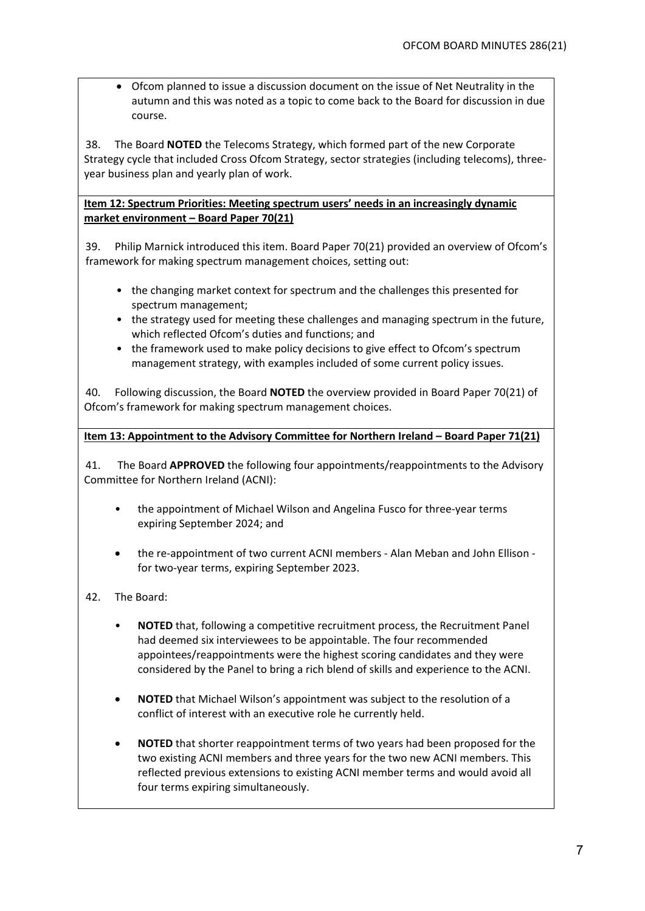• Ofcom planned to issue a discussion document on the issue of Net Neutrality in the autumn and this was noted as a topic to come back to the Board for discussion in due course.

38. The Board **NOTED** the Telecoms Strategy, which formed part of the new Corporate Strategy cycle that included Cross Ofcom Strategy, sector strategies (including telecoms), threeyear business plan and yearly plan of work.

## **Item 12: Spectrum Priorities: Meeting spectrum users' needs in an increasingly dynamic market environment – Board Paper 70(21)**

39. Philip Marnick introduced this item. Board Paper 70(21) provided an overview of Ofcom's framework for making spectrum management choices, setting out:

- the changing market context for spectrum and the challenges this presented for spectrum management;
- the strategy used for meeting these challenges and managing spectrum in the future, which reflected Ofcom's duties and functions; and
- the framework used to make policy decisions to give effect to Ofcom's spectrum management strategy, with examples included of some current policy issues.

40. Following discussion, the Board **NOTED** the overview provided in Board Paper 70(21) of Ofcom's framework for making spectrum management choices.

**Item 13: Appointment to the Advisory Committee for Northern Ireland – Board Paper 71(21)**

41. The Board **APPROVED** the following four appointments/reappointments to the Advisory Committee for Northern Ireland (ACNI):

- the appointment of Michael Wilson and Angelina Fusco for three-year terms expiring September 2024; and
- the re-appointment of two current ACNI members Alan Meban and John Ellison for two-year terms, expiring September 2023.
- 42. The Board:
	- **NOTED** that, following a competitive recruitment process, the Recruitment Panel had deemed six interviewees to be appointable. The four recommended appointees/reappointments were the highest scoring candidates and they were considered by the Panel to bring a rich blend of skills and experience to the ACNI.
	- **NOTED** that Michael Wilson's appointment was subject to the resolution of a conflict of interest with an executive role he currently held.
	- **NOTED** that shorter reappointment terms of two years had been proposed for the two existing ACNI members and three years for the two new ACNI members. This reflected previous extensions to existing ACNI member terms and would avoid all four terms expiring simultaneously.